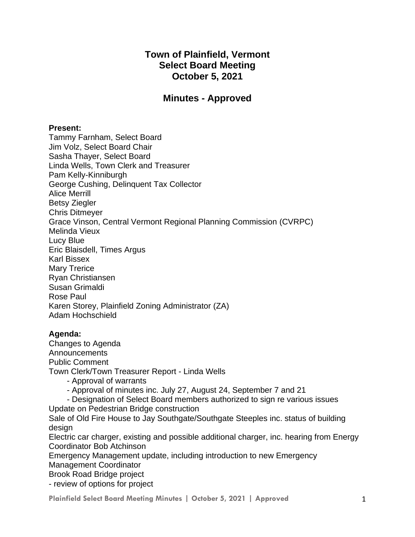# **Town of Plainfield, Vermont Select Board Meeting October 5, 2021**

# **Minutes - Approved**

## **Present:**

Tammy Farnham, Select Board Jim Volz, Select Board Chair Sasha Thayer, Select Board Linda Wells, Town Clerk and Treasurer Pam Kelly-Kinniburgh George Cushing, Delinquent Tax Collector Alice Merrill Betsy Ziegler Chris Ditmeyer Grace Vinson, Central Vermont Regional Planning Commission (CVRPC) Melinda Vieux Lucy Blue Eric Blaisdell, Times Argus Karl Bissex Mary Trerice Ryan Christiansen Susan Grimaldi Rose Paul Karen Storey, Plainfield Zoning Administrator (ZA) Adam Hochschield

# **Agenda:**

Changes to Agenda Announcements Public Comment Town Clerk/Town Treasurer Report - Linda Wells

- Approval of warrants
- Approval of minutes inc. July 27, August 24, September 7 and 21
- Designation of Select Board members authorized to sign re various issues Update on Pedestrian Bridge construction

Sale of Old Fire House to Jay Southgate/Southgate Steeples inc. status of building design

Electric car charger, existing and possible additional charger, inc. hearing from Energy Coordinator Bob Atchinson

Emergency Management update, including introduction to new Emergency Management Coordinator

Brook Road Bridge project

- review of options for project

**Plainfield Select Board Meeting Minutes | October 5, 2021 | Approved** 1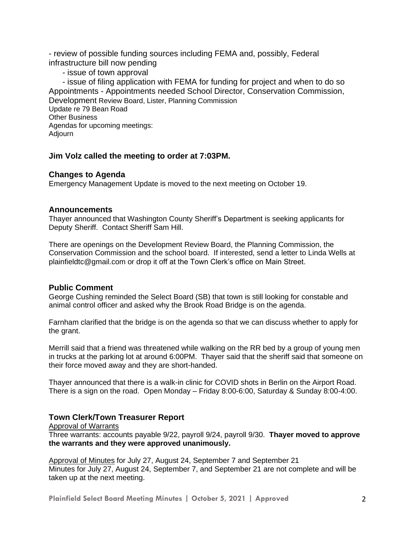- review of possible funding sources including FEMA and, possibly, Federal infrastructure bill now pending

- issue of town approval

 - issue of filing application with FEMA for funding for project and when to do so Appointments - Appointments needed School Director, Conservation Commission, Development Review Board, Lister, Planning Commission Update re 79 Bean Road Other Business Agendas for upcoming meetings: Adjourn

# **Jim Volz called the meeting to order at 7:03PM.**

## **Changes to Agenda**

Emergency Management Update is moved to the next meeting on October 19.

#### **Announcements**

Thayer announced that Washington County Sheriff's Department is seeking applicants for Deputy Sheriff. Contact Sheriff Sam Hill.

There are openings on the Development Review Board, the Planning Commission, the Conservation Commission and the school board. If interested, send a letter to Linda Wells at [plainfieldtc@gmail.com](mailto:plainfieldtc@gmail.com) or drop it off at the Town Clerk's office on Main Street.

# **Public Comment**

George Cushing reminded the Select Board (SB) that town is still looking for constable and animal control officer and asked why the Brook Road Bridge is on the agenda.

Farnham clarified that the bridge is on the agenda so that we can discuss whether to apply for the grant.

Merrill said that a friend was threatened while walking on the RR bed by a group of young men in trucks at the parking lot at around 6:00PM. Thayer said that the sheriff said that someone on their force moved away and they are short-handed.

Thayer announced that there is a walk-in clinic for COVID shots in Berlin on the Airport Road. There is a sign on the road. Open Monday – Friday 8:00-6:00, Saturday & Sunday 8:00-4:00.

# **Town Clerk/Town Treasurer Report**

Approval of Warrants

Three warrants: accounts payable 9/22, payroll 9/24, payroll 9/30. **Thayer moved to approve the warrants and they were approved unanimously.** 

Approval of Minutes for July 27, August 24, September 7 and September 21 Minutes for July 27, August 24, September 7, and September 21 are not complete and will be taken up at the next meeting.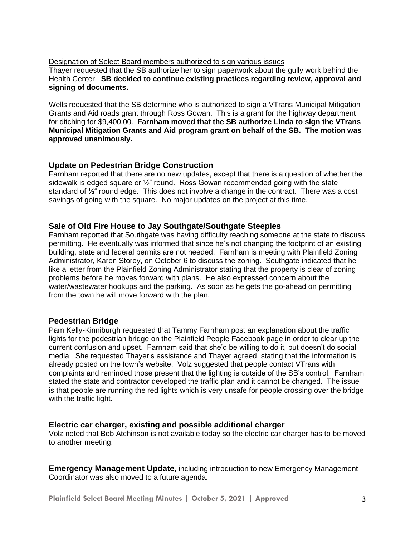Designation of Select Board members authorized to sign various issues Thayer requested that the SB authorize her to sign paperwork about the gully work behind the Health Center. **SB decided to continue existing practices regarding review, approval and signing of documents.**

Wells requested that the SB determine who is authorized to sign a VTrans Municipal Mitigation Grants and Aid roads grant through Ross Gowan. This is a grant for the highway department for ditching for \$9,400.00. **Farnham moved that the SB authorize Linda to sign the VTrans Municipal Mitigation Grants and Aid program grant on behalf of the SB. The motion was approved unanimously.** 

## **Update on Pedestrian Bridge Construction**

Farnham reported that there are no new updates, except that there is a question of whether the sidewalk is edged square or ½" round. Ross Gowan recommended going with the state standard of ½" round edge. This does not involve a change in the contract. There was a cost savings of going with the square. No major updates on the project at this time.

## **Sale of Old Fire House to Jay Southgate/Southgate Steeples**

Farnham reported that Southgate was having difficulty reaching someone at the state to discuss permitting. He eventually was informed that since he's not changing the footprint of an existing building, state and federal permits are not needed. Farnham is meeting with Plainfield Zoning Administrator, Karen Storey, on October 6 to discuss the zoning. Southgate indicated that he like a letter from the Plainfield Zoning Administrator stating that the property is clear of zoning problems before he moves forward with plans. He also expressed concern about the water/wastewater hookups and the parking. As soon as he gets the go-ahead on permitting from the town he will move forward with the plan.

#### **Pedestrian Bridge**

Pam Kelly-Kinniburgh requested that Tammy Farnham post an explanation about the traffic lights for the pedestrian bridge on the Plainfield People Facebook page in order to clear up the current confusion and upset. Farnham said that she'd be willing to do it, but doesn't do social media. She requested Thayer's assistance and Thayer agreed, stating that the information is already posted on the town's website. Volz suggested that people contact VTrans with complaints and reminded those present that the lighting is outside of the SB's control. Farnham stated the state and contractor developed the traffic plan and it cannot be changed. The issue is that people are running the red lights which is very unsafe for people crossing over the bridge with the traffic light.

#### **Electric car charger, existing and possible additional charger**

Volz noted that Bob Atchinson is not available today so the electric car charger has to be moved to another meeting.

**Emergency Management Update**, including introduction to new Emergency Management Coordinator was also moved to a future agenda.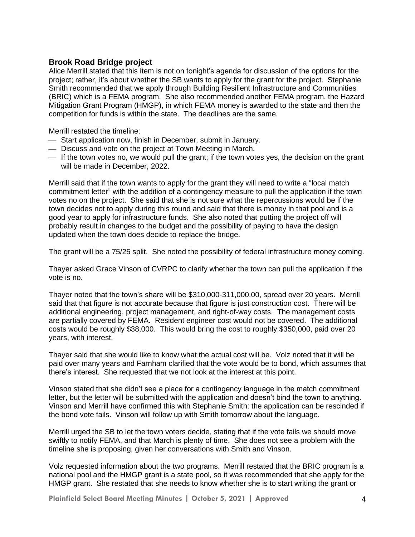## **Brook Road Bridge project**

Alice Merrill stated that this item is not on tonight's agenda for discussion of the options for the project; rather, it's about whether the SB wants to apply for the grant for the project. Stephanie Smith recommended that we apply through Building Resilient Infrastructure and Communities (BRIC) which is a FEMA program. She also recommended another FEMA program, the Hazard Mitigation Grant Program (HMGP), in which FEMA money is awarded to the state and then the competition for funds is within the state. The deadlines are the same.

Merrill restated the timeline:

- ⎯ Start application now, finish in December, submit in January.
- $-$  Discuss and vote on the project at Town Meeting in March.
- $-$  If the town votes no, we would pull the grant; if the town votes yes, the decision on the grant will be made in December, 2022.

Merrill said that if the town wants to apply for the grant they will need to write a "local match commitment letter" with the addition of a contingency measure to pull the application if the town votes no on the project. She said that she is not sure what the repercussions would be if the town decides not to apply during this round and said that there is money in that pool and is a good year to apply for infrastructure funds. She also noted that putting the project off will probably result in changes to the budget and the possibility of paying to have the design updated when the town does decide to replace the bridge.

The grant will be a 75/25 split. She noted the possibility of federal infrastructure money coming.

Thayer asked Grace Vinson of CVRPC to clarify whether the town can pull the application if the vote is no.

Thayer noted that the town's share will be \$310,000-311,000.00, spread over 20 years. Merrill said that that figure is not accurate because that figure is just construction cost. There will be additional engineering, project management, and right-of-way costs. The management costs are partially covered by FEMA. Resident engineer cost would not be covered. The additional costs would be roughly \$38,000. This would bring the cost to roughly \$350,000, paid over 20 years, with interest.

Thayer said that she would like to know what the actual cost will be. Volz noted that it will be paid over many years and Farnham clarified that the vote would be to bond, which assumes that there's interest. She requested that we not look at the interest at this point.

Vinson stated that she didn't see a place for a contingency language in the match commitment letter, but the letter will be submitted with the application and doesn't bind the town to anything. Vinson and Merrill have confirmed this with Stephanie Smith: the application can be rescinded if the bond vote fails. Vinson will follow up with Smith tomorrow about the language.

Merrill urged the SB to let the town voters decide, stating that if the vote fails we should move swiftly to notify FEMA, and that March is plenty of time. She does not see a problem with the timeline she is proposing, given her conversations with Smith and Vinson.

Volz requested information about the two programs. Merrill restated that the BRIC program is a national pool and the HMGP grant is a state pool, so it was recommended that she apply for the HMGP grant. She restated that she needs to know whether she is to start writing the grant or

**Plainfield Select Board Meeting Minutes | October 5, 2021 | Approved** 4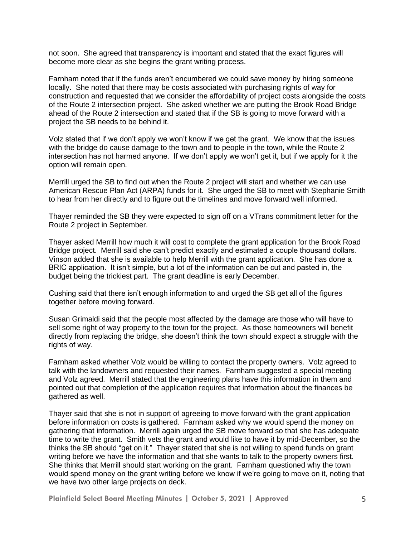not soon. She agreed that transparency is important and stated that the exact figures will become more clear as she begins the grant writing process.

Farnham noted that if the funds aren't encumbered we could save money by hiring someone locally. She noted that there may be costs associated with purchasing rights of way for construction and requested that we consider the affordability of project costs alongside the costs of the Route 2 intersection project. She asked whether we are putting the Brook Road Bridge ahead of the Route 2 intersection and stated that if the SB is going to move forward with a project the SB needs to be behind it.

Volz stated that if we don't apply we won't know if we get the grant. We know that the issues with the bridge do cause damage to the town and to people in the town, while the Route 2 intersection has not harmed anyone. If we don't apply we won't get it, but if we apply for it the option will remain open.

Merrill urged the SB to find out when the Route 2 project will start and whether we can use American Rescue Plan Act (ARPA) funds for it. She urged the SB to meet with Stephanie Smith to hear from her directly and to figure out the timelines and move forward well informed.

Thayer reminded the SB they were expected to sign off on a VTrans commitment letter for the Route 2 project in September.

Thayer asked Merrill how much it will cost to complete the grant application for the Brook Road Bridge project. Merrill said she can't predict exactly and estimated a couple thousand dollars. Vinson added that she is available to help Merrill with the grant application. She has done a BRIC application. It isn't simple, but a lot of the information can be cut and pasted in, the budget being the trickiest part. The grant deadline is early December.

Cushing said that there isn't enough information to and urged the SB get all of the figures together before moving forward.

Susan Grimaldi said that the people most affected by the damage are those who will have to sell some right of way property to the town for the project. As those homeowners will benefit directly from replacing the bridge, she doesn't think the town should expect a struggle with the rights of way.

Farnham asked whether Volz would be willing to contact the property owners. Volz agreed to talk with the landowners and requested their names. Farnham suggested a special meeting and Volz agreed. Merrill stated that the engineering plans have this information in them and pointed out that completion of the application requires that information about the finances be gathered as well.

Thayer said that she is not in support of agreeing to move forward with the grant application before information on costs is gathered. Farnham asked why we would spend the money on gathering that information. Merrill again urged the SB move forward so that she has adequate time to write the grant. Smith vets the grant and would like to have it by mid-December, so the thinks the SB should "get on it." Thayer stated that she is not willing to spend funds on grant writing before we have the information and that she wants to talk to the property owners first. She thinks that Merrill should start working on the grant. Farnham questioned why the town would spend money on the grant writing before we know if we're going to move on it, noting that we have two other large projects on deck.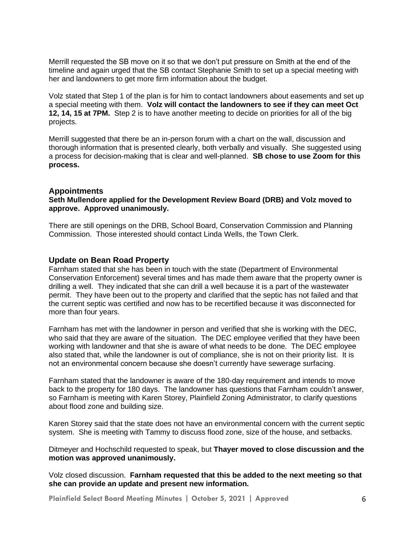Merrill requested the SB move on it so that we don't put pressure on Smith at the end of the timeline and again urged that the SB contact Stephanie Smith to set up a special meeting with her and landowners to get more firm information about the budget.

Volz stated that Step 1 of the plan is for him to contact landowners about easements and set up a special meeting with them. **Volz will contact the landowners to see if they can meet Oct 12, 14, 15 at 7PM.** Step 2 is to have another meeting to decide on priorities for all of the big projects.

Merrill suggested that there be an in-person forum with a chart on the wall, discussion and thorough information that is presented clearly, both verbally and visually. She suggested using a process for decision-making that is clear and well-planned. **SB chose to use Zoom for this process.**

#### **Appointments**

#### **Seth Mullendore applied for the Development Review Board (DRB) and Volz moved to approve. Approved unanimously.**

There are still openings on the DRB, School Board, Conservation Commission and Planning Commission. Those interested should contact Linda Wells, the Town Clerk.

#### **Update on Bean Road Property**

Farnham stated that she has been in touch with the state (Department of Environmental Conservation Enforcement) several times and has made them aware that the property owner is drilling a well. They indicated that she can drill a well because it is a part of the wastewater permit. They have been out to the property and clarified that the septic has not failed and that the current septic was certified and now has to be recertified because it was disconnected for more than four years.

Farnham has met with the landowner in person and verified that she is working with the DEC, who said that they are aware of the situation. The DEC employee verified that they have been working with landowner and that she is aware of what needs to be done. The DEC employee also stated that, while the landowner is out of compliance, she is not on their priority list. It is not an environmental concern because she doesn't currently have sewerage surfacing.

Farnham stated that the landowner is aware of the 180-day requirement and intends to move back to the property for 180 days. The landowner has questions that Farnham couldn't answer, so Farnham is meeting with Karen Storey, Plainfield Zoning Administrator, to clarify questions about flood zone and building size.

Karen Storey said that the state does not have an environmental concern with the current septic system. She is meeting with Tammy to discuss flood zone, size of the house, and setbacks.

Ditmeyer and Hochschild requested to speak, but **Thayer moved to close discussion and the motion was approved unanimously.** 

Volz closed discussion. **Farnham requested that this be added to the next meeting so that she can provide an update and present new information.**

**Plainfield Select Board Meeting Minutes | October 5, 2021 | Approved** 6